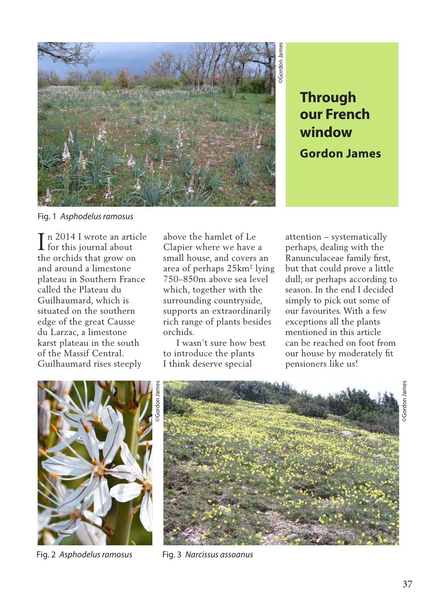

**our French window Gordon James**

Fig. 1 *Asphodelus ramosus*

In 2014 I wrote an article<br>for this journal about  $\mathsf I$  for this journal about the orchids that grow on and around a limestone plateau in Southern France called the Plateau du Guilhaumard, which is situated on the southern edge of the great Causse du Larzac, a limestone karst plateau in the south of the Massif Central. Guilhaumard rises steeply

above the hamlet of Le Clapier where we have a small house, and covers an area of perhaps 25km2 lying 750–850m above sea level which, together with the surrounding countryside, supports an extraordinarily rich range of plants besides orchids.

 I wasn't sure how best to introduce the plants I think deserve special

attention – systematically perhaps, dealing with the Ranunculaceae family first, but that could prove a little dull; or perhaps according to season. In the end I decided simply to pick out some of our favourites. With a few exceptions all the plants mentioned in this article can be reached on foot from our house by moderately fit pensioners like us!



Fig. 2 *Asphodelus ramosus* Fig. 3 *Narcissus assoanus*

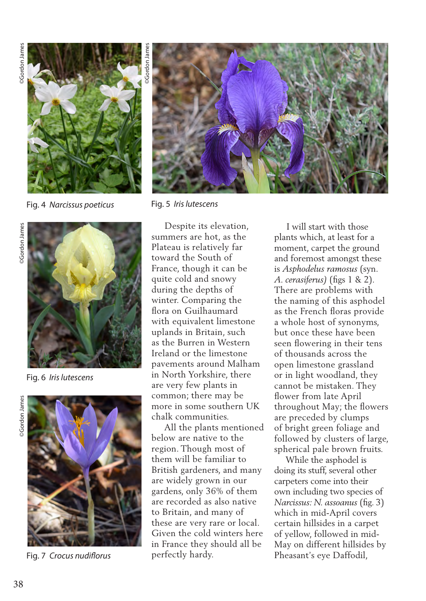

Fig. 4 *Narcissus poeticus* Fig. 5 *Iris lutescens*



Fig. 6 *Iris lutescens*



Fig. 7 *Crocus nudiflorus*



 Despite its elevation, summers are hot, as the Plateau is relatively far toward the South of France, though it can be quite cold and snowy during the depths of winter. Comparing the flora on Guilhaumard with equivalent limestone uplands in Britain, such as the Burren in Western Ireland or the limestone pavements around Malham in North Yorkshire, there are very few plants in common; there may be more in some southern UK chalk communities.

 All the plants mentioned below are native to the region. Though most of them will be familiar to British gardeners, and many are widely grown in our gardens, only 36% of them are recorded as also native to Britain, and many of these are very rare or local. Given the cold winters here in France they should all be perfectly hardy.

 I will start with those plants which, at least for a moment, carpet the ground and foremost amongst these is *Asphodelus ramosus* (syn. *A. cerasiferus)* (figs 1 & 2). There are problems with the naming of this asphodel as the French floras provide a whole host of synonyms, but once these have been seen flowering in their tens of thousands across the open limestone grassland or in light woodland, they cannot be mistaken. They flower from late April throughout May; the flowers are preceded by clumps of bright green foliage and followed by clusters of large, spherical pale brown fruits.

 While the asphodel is doing its stuff, several other carpeters come into their own including two species of *Narcissus: N. assoanus* (fig. 3) which in mid-April covers certain hillsides in a carpet of yellow, followed in mid-May on different hillsides by Pheasant's eye Daffodil,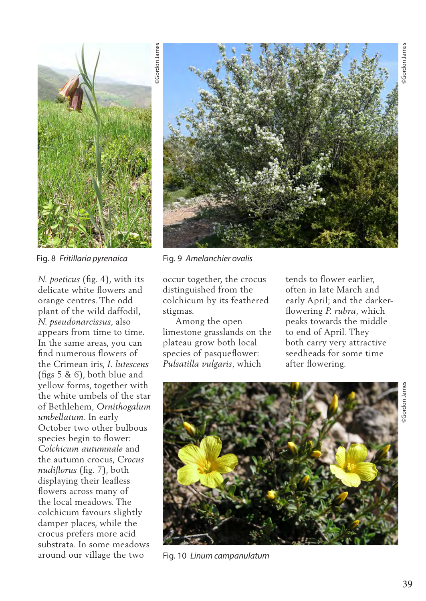

Fig. 8 *Fritillaria pyrenaica*

*N. poeticus* (fig. 4), with its delicate white flowers and orange centres. The odd plant of the wild daffodil, *N. pseudonarcissus*, also appears from time to time. In the same areas, you can find numerous flowers of the Crimean iris, *I. lutescens*  (figs 5 & 6), both blue and yellow forms, together with the white umbels of the star of Bethlehem, *Ornithogalum umbellatum*. In early October two other bulbous species begin to flower: *Colchicum autumnale* and the autumn crocus, *Crocus nudiflorus* (fig. 7), both displaying their leafless flowers across many of the local meadows. The colchicum favours slightly damper places, while the crocus prefers more acid substrata. In some meadows around our village the two

Fig. 9 *Amelanchier ovalis*

occur together, the crocus distinguished from the colchicum by its feathered stigmas.

 Among the open limestone grasslands on the plateau grow both local species of pasqueflower: *Pulsatilla vulgaris*, which

tends to flower earlier, often in late March and early April; and the darkerflowering *P. rubra*, which peaks towards the middle to end of April. They both carry very attractive seedheads for some time after flowering.



Fig. 10 *Linum campanulatum*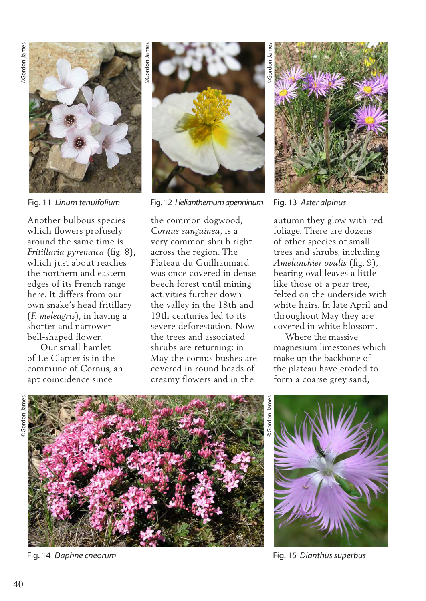

Fig. 11 *Linum tenuifolium*

Another bulbous species which flowers profusely around the same time is *Fritillaria pyrenaica* (fig. 8), which just about reaches the northern and eastern edges of its French range here. It differs from our own snake's head fritillary (*F. meleagris*), in having a shorter and narrower bell-shaped flower.

 Our small hamlet of Le Clapier is in the commune of Cornus, an apt coincidence since



Fig. 12 *Helianthemum apenninum* Fig. 13 *Aster alpinus*

the common dogwood, *Cornus sanguinea*, is a very common shrub right across the region. The Plateau du Guilhaumard was once covered in dense beech forest until mining activities further down the valley in the 18th and 19th centuries led to its severe deforestation. Now the trees and associated shrubs are returning: in May the cornus bushes are covered in round heads of creamy flowers and in the

©Gordon James

autumn they glow with red foliage. There are dozens of other species of small trees and shrubs, including *Amelanchier ovalis* (fig. 9), bearing oval leaves a little like those of a pear tree, felted on the underside with white hairs. In late April and throughout May they are covered in white blossom.

 Where the massive magnesium limestones which make up the backbone of the plateau have eroded to form a coarse grey sand,







Fig. 14 *Daphne cneorum* Fig. 15 *Dianthus superbus*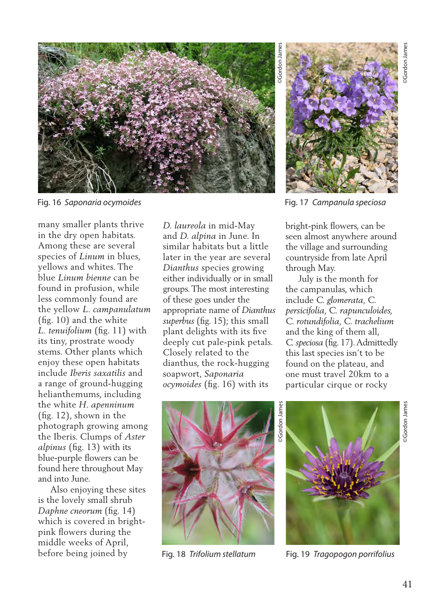

Fig. 16 *Saponaria ocymoides*

many smaller plants thrive in the dry open habitats. Among these are several species of *Linum* in blues, yellows and whites. The blue *Linum bienne* can be found in profusion, while less commonly found are the yellow *L. campanulatum* (fig. 10) and the white *L. tenuifolium* (fig. 11) with its tiny, prostrate woody stems. Other plants which enjoy these open habitats include *Iberis saxatilis* and a range of ground-hugging helianthemums, including the white *H. apenninum* (fig. 12), shown in the photograph growing among the Iberis. Clumps of *Aster alpinus* (fig. 13) with its blue-purple flowers can be found here throughout May and into June.

 Also enjoying these sites is the lovely small shrub *Daphne cneorum* (fig. 14) which is covered in brightpink flowers during the middle weeks of April, before being joined by

*D. laureola* in mid-May and *D. alpina* in June. In similar habitats but a little later in the year are several *Dianthus* species growing either individually or in small groups. The most interesting of these goes under the appropriate name of *Dianthus superbus* (fig. 15); this small plant delights with its five deeply cut pale-pink petals. Closely related to the dianthus, the rock-hugging soapwort, *Saponaria ocymoides* (fig. 16) with its



Fig. 17 *Campanula speciosa*

bright-pink flowers, can be seen almost anywhere around the village and surrounding countryside from late April through May.

 July is the month for the campanulas, which include *C. glomerata, C. persicifolia, C. rapunculoides, C. rotundifolia, C. trachelium*  and the king of them all, *C. speciosa* (fig. 17). Admittedly this last species isn't to be found on the plateau, and one must travel 20km to a particular cirque or rocky





Fig. 18 *Trifolium stellatum* Fig. 19 *Tragopogon porrifolius*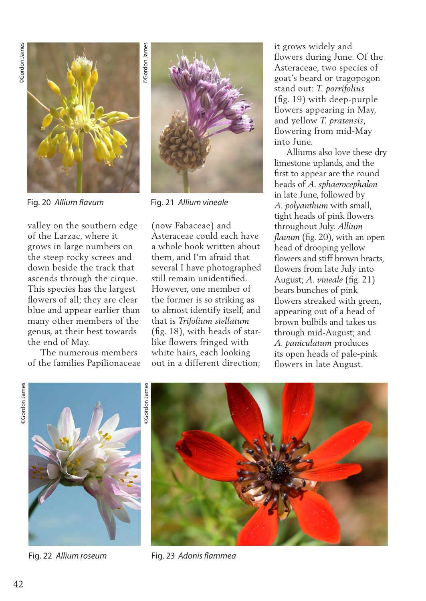

valley on the southern edge of the Larzac, where it grows in large numbers on the steep rocky screes and down beside the track that ascends through the cirque. This species has the largest flowers of all; they are clear blue and appear earlier than many other members of the genus, at their best towards the end of May.

 The numerous members of the families Papilionaceae



Fig. 20 *Allium flavum* Fig. 21 *Allium vineale*

(now Fabaceae) and Asteraceae could each have a whole book written about them, and I'm afraid that several I have photographed still remain unidentified. However, one member of the former is so striking as to almost identify itself, and that is *Trifolium stellatum* (fig. 18), with heads of starlike flowers fringed with white hairs, each looking out in a different direction; it grows widely and flowers during June. Of the Asteraceae, two species of goat's beard or tragopogon stand out: *T. porrifolius*  (fig. 19) with deep-purple flowers appearing in May, and yellow *T. pratensis*, flowering from mid-May into June.

 Alliums also love these dry limestone uplands, and the first to appear are the round heads of *A. sphaerocephalon* in late June, followed by *A. polyanthum* with small, tight heads of pink flowers throughout July. *Allium flavum* (fig. 20), with an open head of drooping yellow flowers and stiff brown bracts. flowers from late July into August; *A. vineale* (fig. 21) bears bunches of pink flowers streaked with green, appearing out of a head of brown bulbils and takes us through mid-August; and *A. paniculatum* produces its open heads of pale-pink flowers in late August.





Fig. 22 *Allium roseum*



Fig. 23 *Adonis flammea*